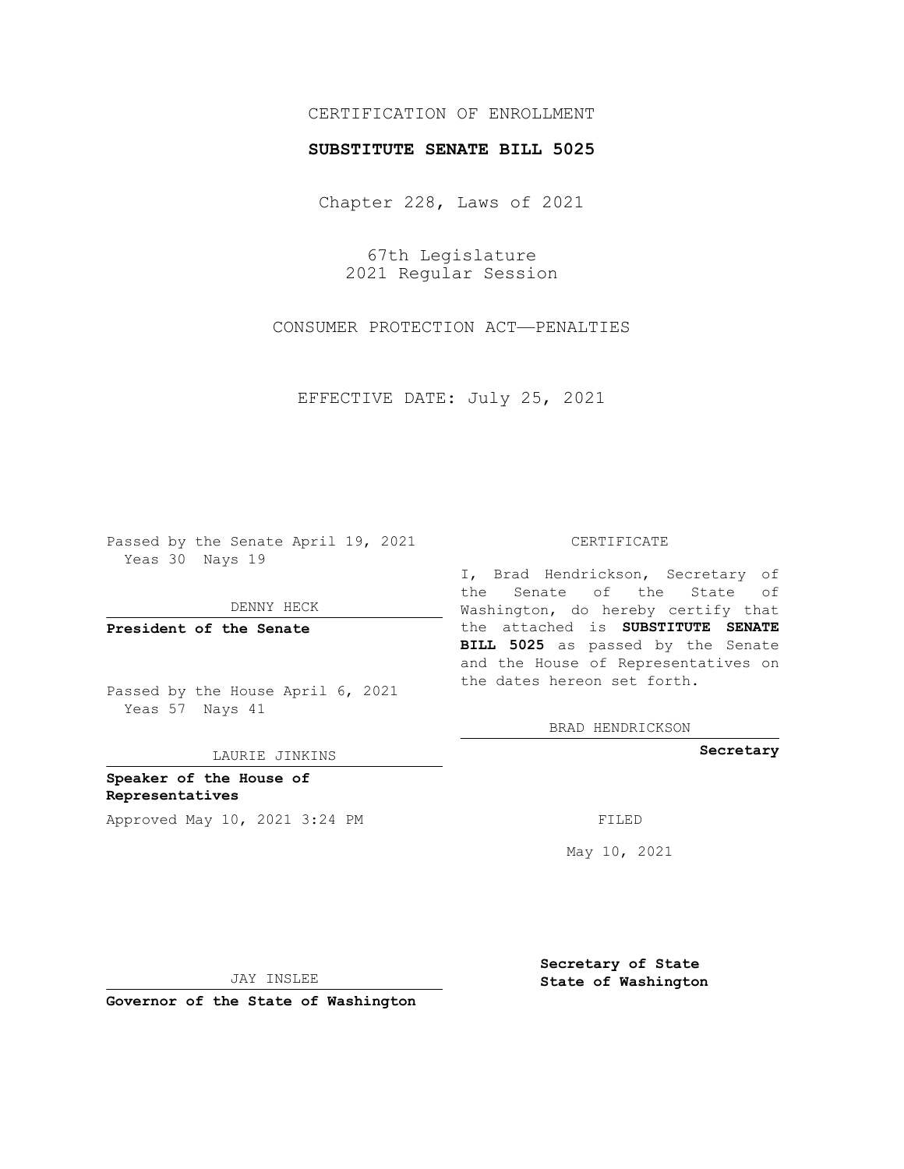# CERTIFICATION OF ENROLLMENT

### **SUBSTITUTE SENATE BILL 5025**

Chapter 228, Laws of 2021

67th Legislature 2021 Regular Session

CONSUMER PROTECTION ACT—PENALTIES

EFFECTIVE DATE: July 25, 2021

Passed by the Senate April 19, 2021 Yeas 30 Nays 19

DENNY HECK

**President of the Senate**

Passed by the House April 6, 2021 Yeas 57 Nays 41

LAURIE JINKINS

**Speaker of the House of Representatives** Approved May 10, 2021 3:24 PM FILED

#### CERTIFICATE

I, Brad Hendrickson, Secretary of the Senate of the State of Washington, do hereby certify that the attached is **SUBSTITUTE SENATE BILL 5025** as passed by the Senate and the House of Representatives on the dates hereon set forth.

BRAD HENDRICKSON

**Secretary**

May 10, 2021

**Secretary of State**

JAY INSLEE

 **State of Washington**

**Governor of the State of Washington**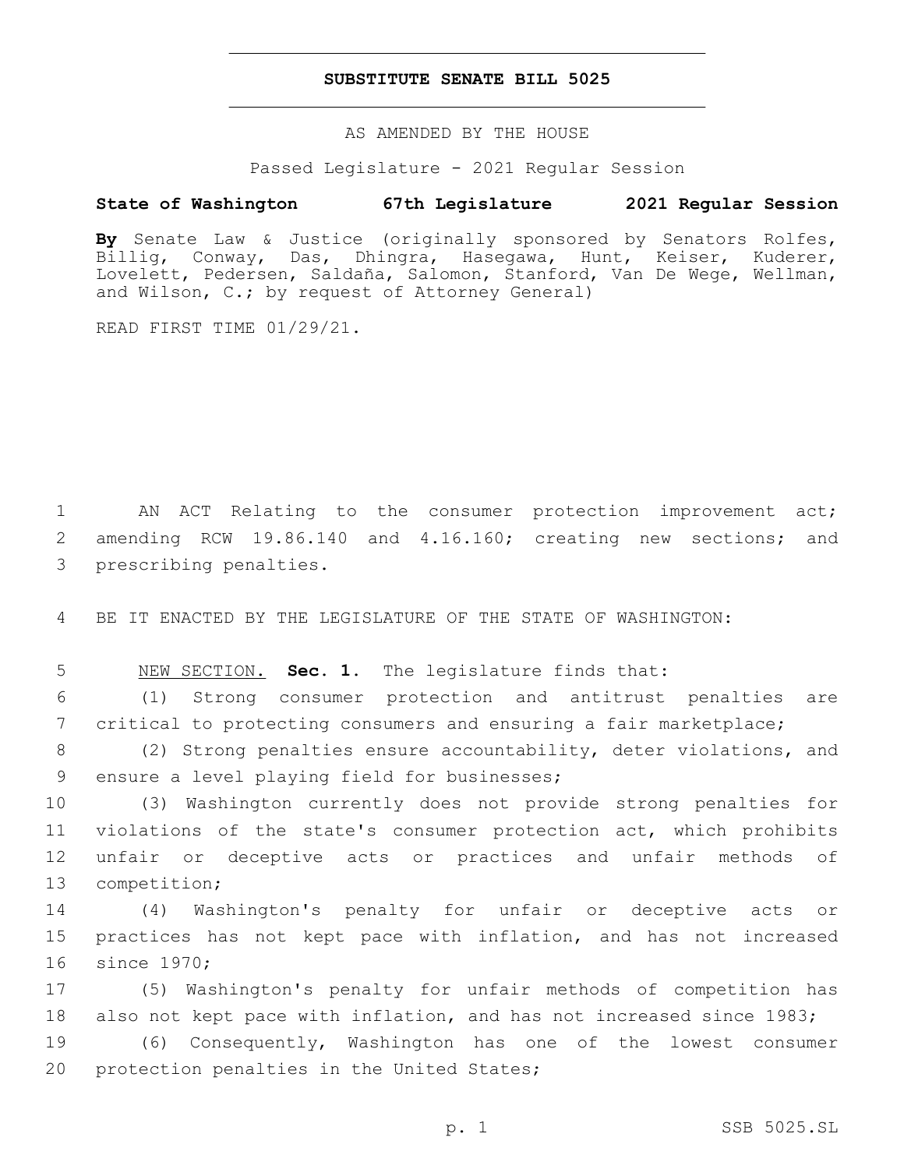### **SUBSTITUTE SENATE BILL 5025**

AS AMENDED BY THE HOUSE

Passed Legislature - 2021 Regular Session

# **State of Washington 67th Legislature 2021 Regular Session**

**By** Senate Law & Justice (originally sponsored by Senators Rolfes, Billig, Conway, Das, Dhingra, Hasegawa, Hunt, Keiser, Kuderer, Lovelett, Pedersen, Saldaña, Salomon, Stanford, Van De Wege, Wellman, and Wilson, C.; by request of Attorney General)

READ FIRST TIME 01/29/21.

1 AN ACT Relating to the consumer protection improvement act; 2 amending RCW 19.86.140 and 4.16.160; creating new sections; and 3 prescribing penalties.

4 BE IT ENACTED BY THE LEGISLATURE OF THE STATE OF WASHINGTON:

5 NEW SECTION. **Sec. 1.** The legislature finds that:

6 (1) Strong consumer protection and antitrust penalties are 7 critical to protecting consumers and ensuring a fair marketplace;

8 (2) Strong penalties ensure accountability, deter violations, and 9 ensure a level playing field for businesses;

 (3) Washington currently does not provide strong penalties for violations of the state's consumer protection act, which prohibits unfair or deceptive acts or practices and unfair methods of 13 competition;

14 (4) Washington's penalty for unfair or deceptive acts or 15 practices has not kept pace with inflation, and has not increased 16 since 1970;

17 (5) Washington's penalty for unfair methods of competition has 18 also not kept pace with inflation, and has not increased since 1983;

19 (6) Consequently, Washington has one of the lowest consumer 20 protection penalties in the United States;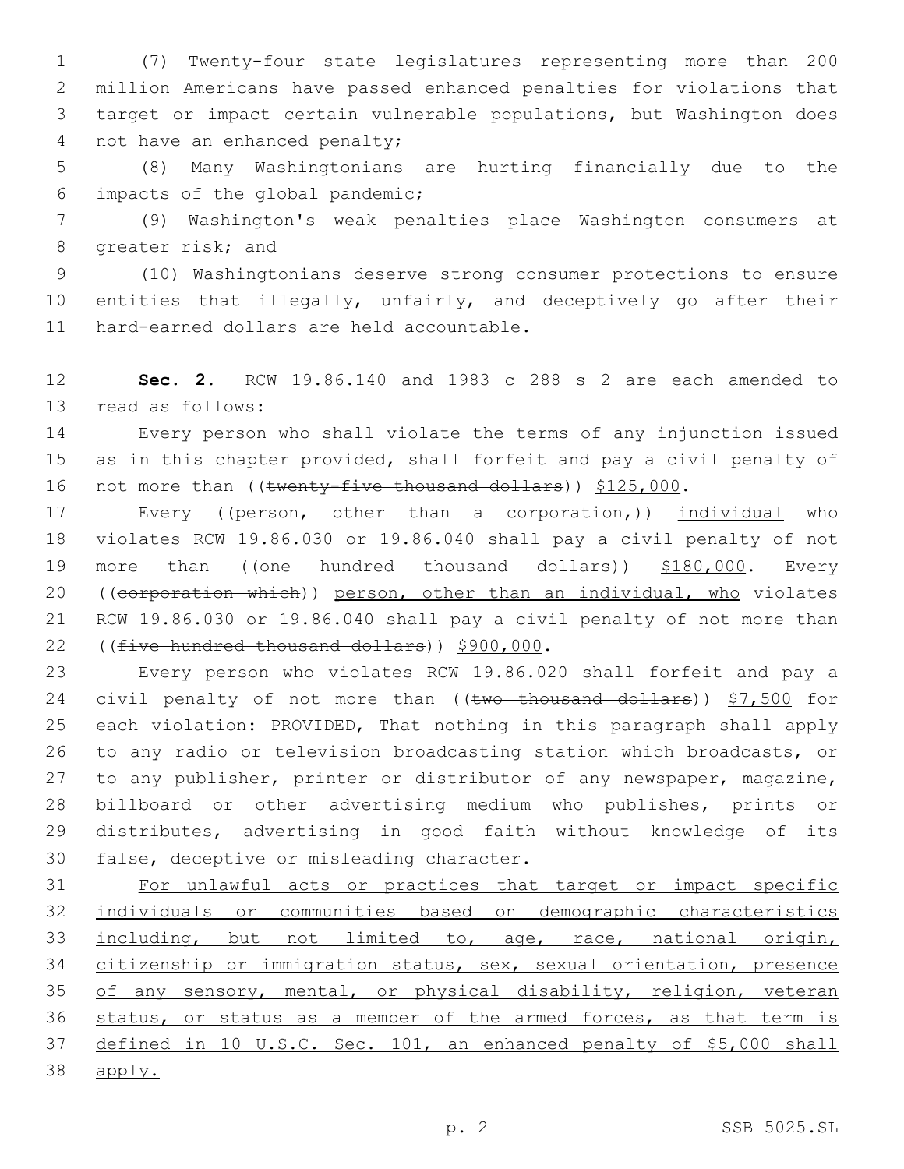(7) Twenty-four state legislatures representing more than 200 million Americans have passed enhanced penalties for violations that target or impact certain vulnerable populations, but Washington does 4 not have an enhanced penalty;

5 (8) Many Washingtonians are hurting financially due to the impacts of the global pandemic;6

7 (9) Washington's weak penalties place Washington consumers at 8 greater risk; and

9 (10) Washingtonians deserve strong consumer protections to ensure 10 entities that illegally, unfairly, and deceptively go after their 11 hard-earned dollars are held accountable.

12 **Sec. 2.** RCW 19.86.140 and 1983 c 288 s 2 are each amended to 13 read as follows:

14 Every person who shall violate the terms of any injunction issued 15 as in this chapter provided, shall forfeit and pay a civil penalty of 16 not more than ((twenty-five thousand dollars)) \$125,000.

17 Every ((person, other than a corporation,)) individual who 18 violates RCW 19.86.030 or 19.86.040 shall pay a civil penalty of not 19 more than ((one hundred thousand dollars)) \$180,000. Every 20 ((corporation which)) person, other than an individual, who violates 21 RCW 19.86.030 or 19.86.040 shall pay a civil penalty of not more than 22 ((five hundred thousand dollars)) \$900,000.

 Every person who violates RCW 19.86.020 shall forfeit and pay a 24 civil penalty of not more than ((two thousand dollars)) \$7,500 for each violation: PROVIDED, That nothing in this paragraph shall apply to any radio or television broadcasting station which broadcasts, or to any publisher, printer or distributor of any newspaper, magazine, billboard or other advertising medium who publishes, prints or distributes, advertising in good faith without knowledge of its 30 false, deceptive or misleading character.

31 For unlawful acts or practices that target or impact specific 32 individuals or communities based on demographic characteristics 33 including, but not limited to, age, race, national origin, 34 citizenship or immigration status, sex, sexual orientation, presence 35 of any sensory, mental, or physical disability, religion, veteran 36 status, or status as a member of the armed forces, as that term is 37 defined in 10 U.S.C. Sec. 101, an enhanced penalty of \$5,000 shall 38 apply.